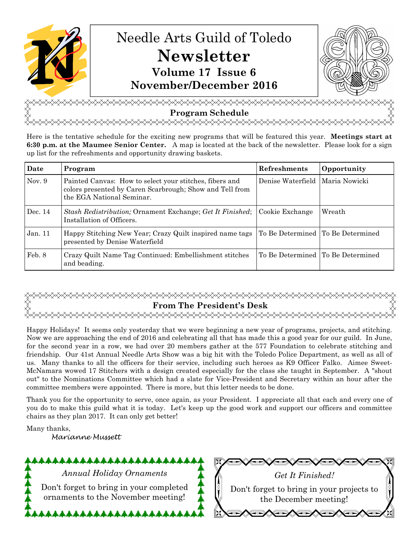

<del></del> **Program Schedule**  <del></del>

Here is the tentative schedule for the exciting new programs that will be featured this year. **Meetings start at 6:30 p.m. at the Maumee Senior Center.** A map is located at the back of the newsletter. Please look for a sign up list for the refreshments and opportunity drawing baskets.

| Date     | Program                                                                                                                                          | Refreshments                      | Opportunity   |
|----------|--------------------------------------------------------------------------------------------------------------------------------------------------|-----------------------------------|---------------|
| Nov. $9$ | Painted Canvas: How to select your stitches, fibers and<br>colors presented by Caren Scarbrough; Show and Tell from<br>the EGA National Seminar. | Denise Waterfield                 | Maria Nowicki |
| Dec. 14  | <i>Stash Redistribution;</i> Ornament Exchange; Get It Finished; Cookie Exchange<br>Installation of Officers.                                    |                                   | Wreath        |
| Jan.11   | Happy Stitching New Year; Crazy Quilt inspired name tags To Be Determined To Be Determined<br>presented by Denise Waterfield                     |                                   |               |
| Feb. 8   | Crazy Quilt Name Tag Continued: Embellishment stitches<br>and beading.                                                                           | To Be Determined To Be Determined |               |

# **From The President's Desk** <del></del>

Happy Holidays! It seems only yesterday that we were beginning a new year of programs, projects, and stitching. Now we are approaching the end of 2016 and celebrating all that has made this a good year for our guild. In June, for the second year in a row, we had over 20 members gather at the 577 Foundation to celebrate stitching and friendship. Our 41st Annual Needle Arts Show was a big hit with the Toledo Police Department, as well as all of us. Many thanks to all the officers for their service, including such heroes as K9 Officer Falko. Aimee Sweet-McNamara wowed 17 Stitchers with a design created especially for the class she taught in September. A "shout out" to the Nominations Committee which had a slate for Vice-President and Secretary within an hour after the committee members were appointed. There is more, but this letter needs to be done.

Thank you for the opportunity to serve, once again, as your President. I appreciate all that each and every one of you do to make this guild what it is today. Let's keep up the good work and support our officers and committee chairs as they plan 2017. It can only get better!

Many thanks, Marianne Mussett

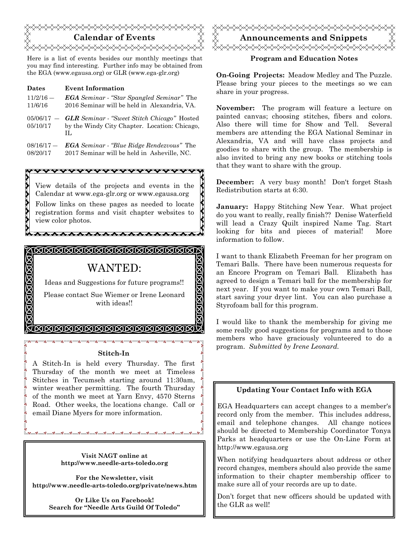

Here is a list of events besides our monthly meetings that you may find interesting. Further info may be obtained from the EGA (www.egausa.org) or GLR (www.ega-glr.org)

Σ

**XXX** 

| <b>Dates</b> | <b>Event Information</b>                                                                                                     |
|--------------|------------------------------------------------------------------------------------------------------------------------------|
| $11/2/16$ –  | <b>EGA</b> Seminar - "Star Spangled Seminar" The                                                                             |
| 11/6/16      | 2016 Seminar will be held in Alexandria, VA.                                                                                 |
| 05/10/17     | $05/06/17$ – <b>GLR</b> Seminar $\cdot$ "Sweet Stitch Chicago" Hosted<br>by the Windy City Chapter. Location: Chicago.<br>H. |
| $08/16/17 -$ | <b>EGA</b> Seminar - "Blue Ridge Rendezvous" The                                                                             |
| 08/20/17     | 2017 Seminar will be held in Asheville, NC.                                                                                  |



<u> (NNNNNNNNNNNNNN)</u>

# WANTED:

Ideas and Suggestions for future programs!!

Please contact Sue Wiemer or Irene Leonard with ideas!!

INNSKNNSKNSKNINSK

### **Stitch-In**

A Stitch-In is held every Thursday. The first Thursday of the month we meet at Timeless Stitches in Tecumseh starting around 11:30am, winter weather permitting. The fourth Thursday of the month we meet at Yarn Envy, 4570 Sterns Road. Other weeks, the locations change. Call or email Diane Myers for more information.

> **Visit NAGT online at http://www.needle-arts-toledo.org**

**For the Newsletter, visit http://www.needle-arts-toledo.org/private/news.htm** 

> **Or Like Us on Facebook! Search for "Needle Arts Guild Of Toledo"**



# **Program and Education Notes**

**On-Going Projects:** Meadow Medley and The Puzzle. Please bring your pieces to the meetings so we can share in your progress.

**November:** The program will feature a lecture on painted canvas; choosing stitches, fibers and colors. Also there will time for Show and Tell. Several members are attending the EGA National Seminar in Alexandria, VA and will have class projects and goodies to share with the group. The membership is also invited to bring any new books or stitching tools that they want to share with the group.

**December:** A very busy month! Don't forget Stash Redistribution starts at 6:30.

**January:** Happy Stitching New Year. What project do you want to really, really finish?? Denise Waterfield will lead a Crazy Quilt inspired Name Tag. Start looking for bits and pieces of material! More information to follow.

I want to thank Elizabeth Freeman for her program on Temari Balls. There have been numerous requests for an Encore Program on Temari Ball. Elizabeth has agreed to design a Temari ball for the membership for next year. If you want to make your own Temari Ball, start saving your dryer lint. You can also purchase a Styrofoam ball for this program.

I would like to thank the membership for giving me some really good suggestions for programs and to those members who have graciously volunteered to do a program. *Submitted by Irene Leonard.* 

# **Updating Your Contact Info with EGA**

EGA Headquarters can accept changes to a member's record only from the member. This includes address, email and telephone changes. All change notices should be directed to Membership Coordinator Tonya Parks at headquarters or use the On-Line Form at http://www.egausa.org

When notifying headquarters about address or other record changes, members should also provide the same information to their chapter membership officer to make sure all of your records are up to date.

Don't forget that new officers should be updated with the GLR as well!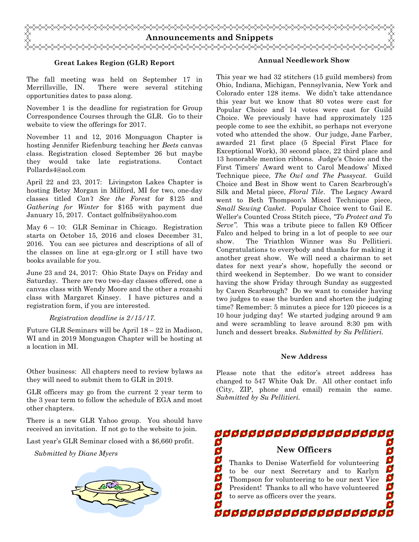

## **Great Lakes Region (GLR) Report**

The fall meeting was held on September 17 in Merrillsville, IN. There were several stitching opportunities dates to pass along.

November 1 is the deadline for registration for Group Correspondence Courses through the GLR. Go to their website to view the offerings for 2017.

November 11 and 12, 2016 Monguagon Chapter is hosting Jennifer Riefenburg teaching her *Beets* canvas class. Registration closed September 26 but maybe they would take late registrations. Contact Pollards4@aol.com

April 22 and 23, 2017: Livingston Lakes Chapter is hosting Betsy Morgan in Milford, MI for two, one-day classes titled *Can't See the Forest* for \$125 and *Gathering for Winter* for \$165 with payment due January 15, 2017. Contact golfnibs@yahoo.com

May 6 – 10: GLR Seminar in Chicago. Registration starts on October 15, 2016 and closes December 31, 2016. You can see pictures and descriptions of all of the classes on line at ega-glr.org or I still have two books available for you.

June 23 and 24, 2017: Ohio State Days on Friday and Saturday. There are two two-day classes offered, one a canvas class with Wendy Moore and the other a rozashi class with Margaret Kinsey. I have pictures and a registration form, if you are interested.

#### *Registration deadline is 2/15/17.*

Future GLR Seminars will be April 18 – 22 in Madison, WI and in 2019 Monguagon Chapter will be hosting at a location in MI.

Other business: All chapters need to review bylaws as they will need to submit them to GLR in 2019.

GLR officers may go from the current 2 year term to the 3 year term to follow the schedule of EGA and most other chapters.

There is a new GLR Yahoo group. You should have received an invitation. If not go to the website to join.

Last year's GLR Seminar closed with a \$6,660 profit.



#### **Annual Needlework Show**

This year we had 32 stitchers (15 guild members) from Ohio, Indiana, Michigan, Pennsylvania, New York and Colorado enter 128 items. We didn't take attendance this year but we know that 80 votes were cast for Popular Choice and 14 votes were cast for Guild Choice. We previously have had approximately 125 people come to see the exhibit, so perhaps not everyone voted who attended the show. Our judge, Jane Farber, awarded 21 first place (5 Special First Place for Exceptional Work), 30 second place, 22 third place and 13 honorable mention ribbons. Judge's Choice and the First Timers' Award went to Carol Meadows' Mixed Technique piece, *The Owl and The Pussycat*. Guild Choice and Best in Show went to Caren Scarbrough's Silk and Metal piece, *Floral Tile*. The Legacy Award went to Beth Thompson's Mixed Technique piece, *Small Sewing Casket*. Popular Choice went to Gail E. Weller's Counted Cross Stitch piece, *"To Protect and To Serve"*. This was a tribute piece to fallen K9 Officer Falco and helped to bring in a lot of people to see our show. The Triathlon Winner was Su Pellitieri. Congratulations to everybody and thanks for making it another great show. We will need a chairman to set dates for next year's show, hopefully the second or third weekend in September. Do we want to consider having the show Friday through Sunday as suggested by Caren Scarbrough? Do we want to consider having two judges to ease the burden and shorten the judging time? Remember: 5 minutes a piece for 120 piceces is a 10 hour judging day! We started judging around 9 am and were scrambling to leave around 8:30 pm with lunch and dessert breaks. *Submitted by Su Pellitieri.* 

#### **New Address**

Please note that the editor's street address has changed to 547 White Oak Dr. All other contact info (City, ZIP, phone and email) remain the same. *Submitted by Su Pellitieri.* 

aaaaaaaaaaaaaaaaaaaa **Submitted by Diane Myers**<br> **Submitted by Diane Myers**<br> **New Officers**<br> **New Officers**<br> **New Officers**<br> **New Officers**<br> **New Officers**<br> **New Officers**<br> **New Officers**<br> **New Officers**<br> **New Officers**<br> **New Officers**<br> **New O** O \$ 999 Thanks to Denise Waterfield for volunteering to be our next Secretary and to Karlyn Thompson for volunteering to be our next Vice 0 President! Thanks to all who have volunteered to serve as officers over the years. 9 aaaaaaaaaaaaaaaaaaaa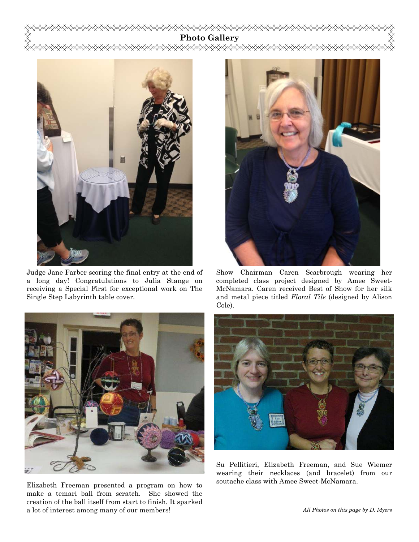**Photo Gallery**  ਇ≫≿≫≫≫



Judge Jane Farber scoring the final entry at the end of a long day! Congratulations to Julia Stange on receiving a Special First for exceptional work on The Single Step Labyrinth table cover.



soutache class with Amee Sweet-McNamara. Elizabeth Freeman presented a program on how to make a temari ball from scratch. She showed the creation of the ball itself from start to finish. It sparked a lot of interest among many of our members!



Show Chairman Caren Scarbrough wearing her completed class project designed by Amee Sweet-McNamara. Caren received Best of Show for her silk and metal piece titled *Floral Tile* (designed by Alison



Su Pellitieri, Elizabeth Freeman, and Sue Wiemer wearing their necklaces (and bracelet) from our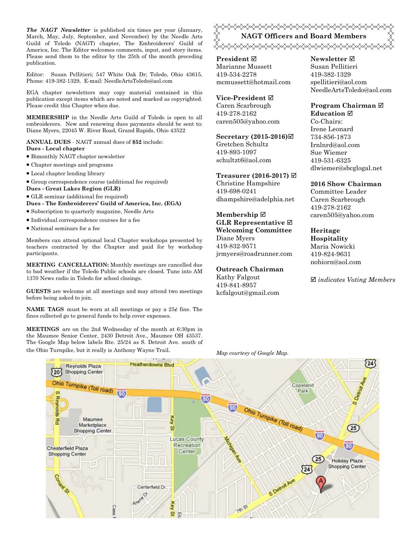*The NAGT Newsletter* is published six times per year (January, March, May, July, September, and November) by the Needle Arts Guild of Toledo (NAGT) chapter, The Embroiderers' Guild of America, Inc. The Editor welcomes comments, input, and story items. Please send them to the editor by the 25th of the month preceding publication.

Editor: Susan Pellitieri; 547 White Oak Dr; Toledo, Ohio 43615, Phone: 419-382-1329, E-mail: NeedleArtsToledo@aol.com

EGA chapter newsletters may copy material contained in this publication except items which are noted and marked as copyrighted. Please credit this Chapter when due.

**MEMBERSHIP** in the Needle Arts Guild of Toledo is open to all embroiderers. New and renewing dues payments should be sent to: Diane Myers, 22045 W. River Road, Grand Rapids, Ohio 43522

**ANNUAL DUES** - NAGT annual dues of **\$52** include: **Dues - Local chapter** 

- Bimonthly NAGT chapter newsletter
- Chapter meetings and programs
- Local chapter lending library
- Group correspondence course (additional fee required)
- **Dues Great Lakes Region (GLR)**
- GLR seminar (additional fee required)

**Dues - The Embroiderers' Guild of America, Inc. (EGA)** 

- Subscription to quarterly magazine, Needle Arts
- Individual correspondence courses for a fee
- National seminars for a fee

Members can attend optional local Chapter workshops presented by teachers contracted by the Chapter and paid for by workshop participants.

**MEETING CANCELLATION:** Monthly meetings are cancelled due to bad weather if the Toledo Public schools are closed. Tune into AM 1370 News radio in Toledo for school closings.

**GUESTS** are welcome at all meetings and may attend two meetings before being asked to join.

**NAME TAGS** must be worn at all meetings or pay a 25¢ fine. The fines collected go to general funds to help cover expenses.

**MEETINGS** are on the 2nd Wednesday of the month at 6:30pm in the Maumee Senior Center, 2430 Detroit Ave., Maumee OH 43537. The Google Map below labels Rte. 25/24 as S. Detroit Ave. south of the Ohio Turnpike, but it really is Anthony Wayne Trail. *Map courtesy of Google Map.* 

<del></del> **NAGT Officers and Board Members**  <del></del>

**President** Marianne Mussett 419-534-2278 mcmussett@hotmail.com

## **Vice-President**

Caren Scarbrough 419-278-2162 caren505@yahoo.com

#### **Secretary (2015-2016)**

Gretchen Schultz 419-893-1097 schultzt6@aol.com

#### **Treasurer (2016-2017)**

Christine Hampshire 419-698-0241 dhampshire@adelphia.net

### **Membership GLR Representative Welcoming Committee**  Diane Myers

419-832-9571 jrmyers@roadrunner.com

#### **Outreach Chairman**

Kathy Falgout 419-841-8957 kcfalgout@gmail.com

#### **Newsletter**  Susan Pellitieri 419-382-1329 spellitieri@aol.com NeedleArtsToledo@aol.com

#### **Program Chairman Education**

Co-Chairs: Irene Leonard 734-856-1873 Irnlnrd@aol.com Sue Wiemer 419-531-6325 dlwiemer@sbcglogal.net

#### **2016 Show Chairman**

Committee Leader Caren Scarbrough 419-278-2162 caren505@yahoo.com

#### **Heritage Hospitality**  Maria Nowicki

419-824-9631 nohiorn@aol.com

*indicates Voting Members*